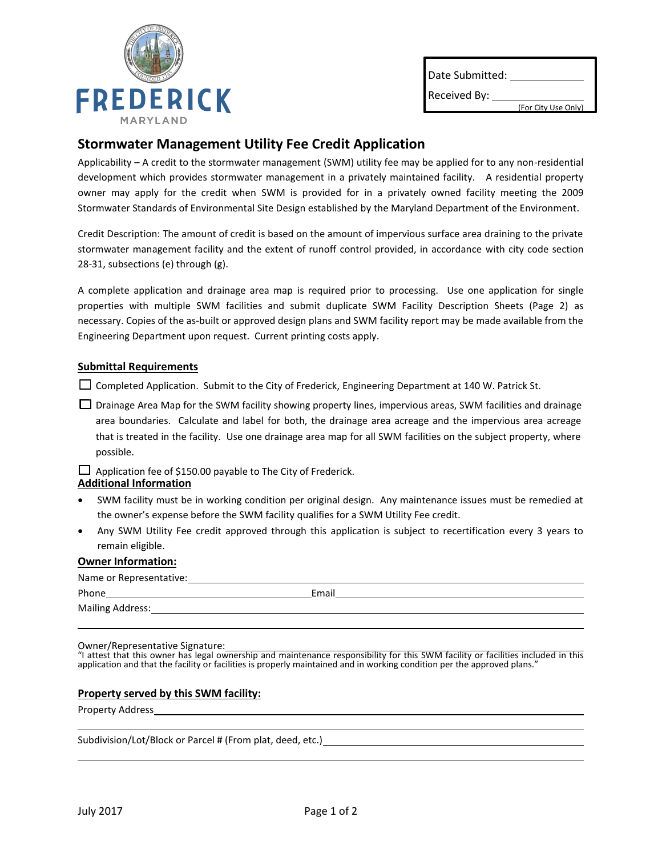

Date Submitted:

Received By:

(For City Use Only)

## **Stormwater Management Utility Fee Credit Application**

Applicability – A credit to the stormwater management (SWM) utility fee may be applied for to any non-residential development which provides stormwater management in a privately maintained facility. A residential property owner may apply for the credit when SWM is provided for in a privately owned facility meeting the 2009 Stormwater Standards of Environmental Site Design established by the Maryland Department of the Environment.

Credit Description: The amount of credit is based on the amount of impervious surface area draining to the private stormwater management facility and the extent of runoff control provided, in accordance with city code section 28-31, subsections (e) through (g).

A complete application and drainage area map is required prior to processing. Use one application for single properties with multiple SWM facilities and submit duplicate SWM Facility Description Sheets (Page 2) as necessary. Copies of the as-built or approved design plans and SWM facility report may be made available from the Engineering Department upon request. Current printing costs apply.

### **Submittal Requirements**

□ Completed Application. Submit to the City of Frederick, Engineering Department at 140 W. Patrick St.

□ Drainage Area Map for the SWM facility showing property lines, impervious areas, SWM facilities and drainage area boundaries. Calculate and label for both, the drainage area acreage and the impervious area acreage that is treated in the facility. Use one drainage area map for all SWM facilities on the subject property, where possible.

 $\Box$  Application fee of \$150.00 payable to The City of Frederick.

#### **Additional Information**

- SWM facility must be in working condition per original design. Any maintenance issues must be remedied at the owner's expense before the SWM facility qualifies for a SWM Utility Fee credit.
- Any SWM Utility Fee credit approved through this application is subject to recertification every 3 years to remain eligible.

#### **Owner Information:**

| Name or Representative: |       |
|-------------------------|-------|
| Phone                   | Email |
| Mailing Address:        |       |

## Owner/Representative Signature:

"I attest that this owner has legal ownership and maintenance responsibility for this SWM facility or facilities included in this application and that the facility or facilities is properly maintained and in working condition per the approved plans."

## **Property served by this SWM facility:**

#### Property Address

Subdivision/Lot/Block or Parcel # (From plat, deed, etc.)